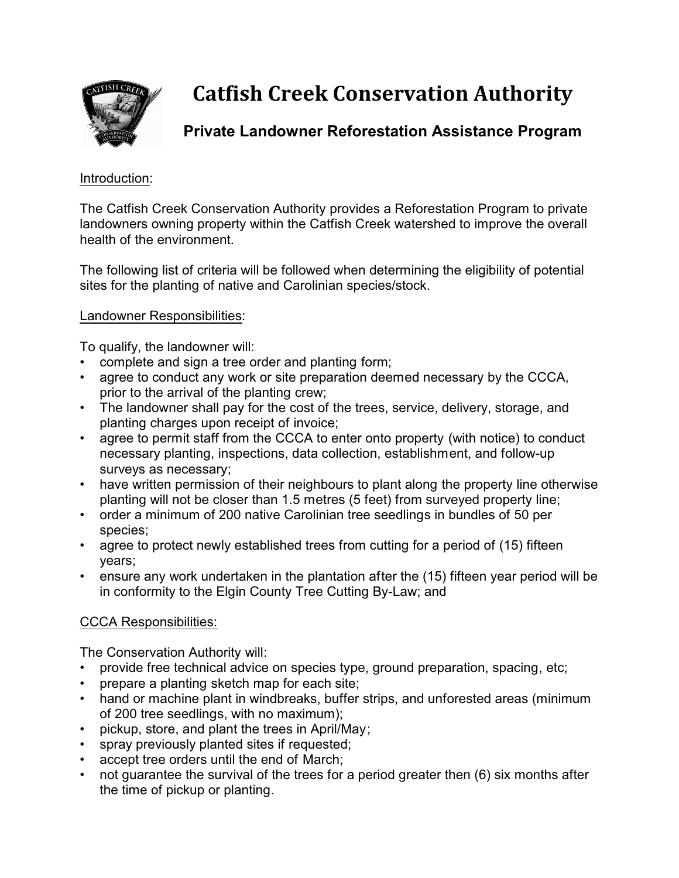

# **Catfish Creek Conservation Authority**

## **Private Landowner Reforestation Assistance Program**

#### Introduction:

The Catfish Creek Conservation Authority provides a Reforestation Program to private landowners owning property within the Catfish Creek watershed to improve the overall health of the environment.

The following list of criteria will be followed when determining the eligibility of potential sites for the planting of native and Carolinian species/stock.

#### Landowner Responsibilities:

To qualify, the landowner will:

- complete and sign a tree order and planting form;
- agree to conduct any work or site preparation deemed necessary by the CCCA, prior to the arrival of the planting crew;
- The landowner shall pay for the cost of the trees, service, delivery, storage, and planting charges upon receipt of invoice;
- agree to permit staff from the CCCA to enter onto property (with notice) to conduct necessary planting, inspections, data collection, establishment, and follow-up surveys as necessary;
- have written permission of their neighbours to plant along the property line otherwise planting will not be closer than 1.5 metres (5 feet) from surveyed property line;
- order a minimum of 200 native Carolinian tree seedlings in bundles of 50 per species;
- agree to protect newly established trees from cutting for a period of (15) fifteen years;
- ensure any work undertaken in the plantation after the (15) fifteen year period will be in conformity to the Elgin County Tree Cutting By-Law; and

### CCCA Responsibilities:

The Conservation Authority will:

- provide free technical advice on species type, ground preparation, spacing, etc;
- prepare a planting sketch map for each site;
- hand or machine plant in windbreaks, buffer strips, and unforested areas (minimum of 200 tree seedlings, with no maximum);
- pickup, store, and plant the trees in April/May;
- spray previously planted sites if requested;
- accept tree orders until the end of March;
- not guarantee the survival of the trees for a period greater then (6) six months after the time of pickup or planting.